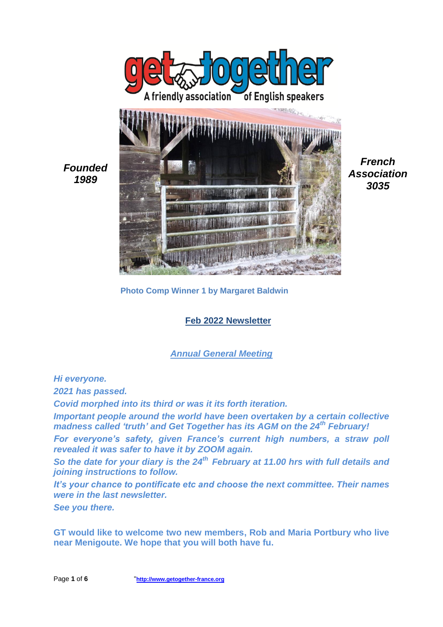

*French Association 3035*

**Photo Comp Winner 1 by Margaret Baldwin**

**Feb 2022 Newsletter**

*Annual General Meeting*

*Hi everyone.*

*2021 has passed.*

*Covid morphed into its third or was it its forth iteration.*

*Important people around the world have been overtaken by a certain collective madness called 'truth' and Get Together has its AGM on the 24th February!*

*For everyone's safety, given France's current high numbers, a straw poll revealed it was safer to have it by ZOOM again.*

*So the date for your diary is the 24th February at 11.00 hrs with full details and joining instructions to follow.*

*It's your chance to pontificate etc and choose the next committee. Their names were in the last newsletter.*

*See you there.*

**GT would like to welcome two new members, Rob and Maria Portbury who live near Menigoute. We hope that you will both have fu.**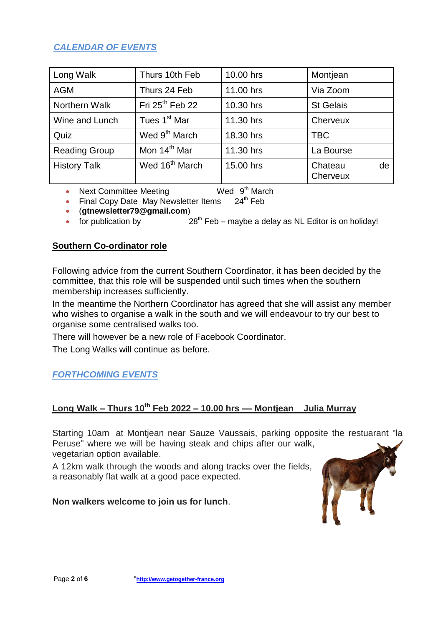## *CALENDAR OF EVENTS*

| Long Walk            | Thurs 10th Feb             | 10.00 hrs | Montjean                  |
|----------------------|----------------------------|-----------|---------------------------|
| <b>AGM</b>           | Thurs 24 Feb               | 11.00 hrs | Via Zoom                  |
| Northern Walk        | Fri $25th$ Feb 22          | 10.30 hrs | <b>St Gelais</b>          |
| Wine and Lunch       | Tues 1 <sup>st</sup> Mar   | 11.30 hrs | Cherveux                  |
| Quiz                 | Wed 9 <sup>th</sup> March  | 18.30 hrs | TBC                       |
| <b>Reading Group</b> | Mon 14 <sup>th</sup> Mar   | 11.30 hrs | La Bourse                 |
| <b>History Talk</b>  | Wed 16 <sup>th</sup> March | 15.00 hrs | Chateau<br>de<br>Cherveux |

- $\bullet$  Next Committee Meeting Wed 9<sup>th</sup> March
- Final Copy Date May Newsletter Items 24<sup>th</sup> Feb
- (**[gtnewsletter79@gmail.com](mailto:gtnewsletter79@gmail.com)**)
- for publication by  $28<sup>th</sup>$  Feb maybe a delay as NL Editor is on holiday!

### **Southern Co-ordinator role**

Following advice from the current Southern Coordinator, it has been decided by the committee, that this role will be suspended until such times when the southern membership increases sufficiently.

In the meantime the Northern Coordinator has agreed that she will assist any member who wishes to organise a walk in the south and we will endeavour to try our best to organise some centralised walks too.

There will however be a new role of Facebook Coordinator.

The Long Walks will continue as before.

## *FORTHCOMING EVENTS*

# **Long Walk – Thurs 10th Feb 2022 – 10.00 hrs –– Montjean Julia Murray**

Starting 10am at Montjean near Sauze Vaussais, parking opposite the restuarant "la Peruse" where we will be having steak and chips after our walk, vegetarian option available.

A 12km walk through the woods and along tracks over the fields, a reasonably flat walk at a good pace expected.

### **Non walkers welcome to join us for lunch**.

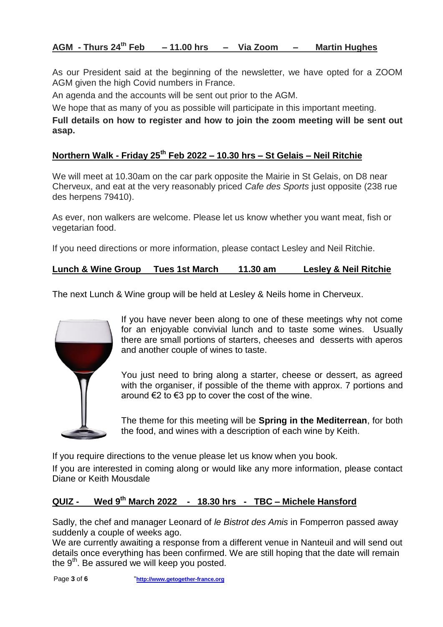## **AGM - Thurs 24th Feb – 11.00 hrs – Via Zoom – Martin Hughes**

As our President said at the beginning of the newsletter, we have opted for a ZOOM AGM given the high Covid numbers in France.

An agenda and the accounts will be sent out prior to the AGM.

We hope that as many of you as possible will participate in this important meeting.

**Full details on how to register and how to join the zoom meeting will be sent out asap.**

# **Northern Walk - Friday 25th Feb 2022 – 10.30 hrs – St Gelais – Neil Ritchie**

We will meet at 10.30am on the car park opposite the Mairie in St Gelais, on D8 near Cherveux, and eat at the very reasonably priced *Cafe des Sports* just opposite (238 rue des herpens 79410).

As ever, non walkers are welcome. Please let us know whether you want meat, fish or vegetarian food.

If you need directions or more information, please contact Lesley and Neil Ritchie.

**Lunch & Wine Group Tues 1st March 11.30 am Lesley & Neil Ritchie**

The next Lunch & Wine group will be held at Lesley & Neils home in Cherveux.



If you have never been along to one of these meetings why not come for an enjoyable convivial lunch and to taste some wines. Usually there are small portions of starters, cheeses and desserts with aperos and another couple of wines to taste.

You just need to bring along a starter, cheese or dessert, as agreed with the organiser, if possible of the theme with approx. 7 portions and around €2 to €3 pp to cover the cost of the wine.

The theme for this meeting will be **Spring in the Mediterrean**, for both the food, and wines with a description of each wine by Keith.

If you require directions to the venue please let us know when you book.

If you are interested in coming along or would like any more information, please contact Diane or Keith Mousdale

### **QUIZ - Wed 9 th March 2022 - 18.30 hrs - TBC – Michele Hansford**

Sadly, the chef and manager Leonard of *le Bistrot des Amis* in Fomperron passed away suddenly a couple of weeks ago.

We are currently awaiting a response from a different venue in Nanteuil and will send out details once everything has been confirmed. We are still hoping that the date will remain the  $9<sup>th</sup>$ . Be assured we will keep you posted.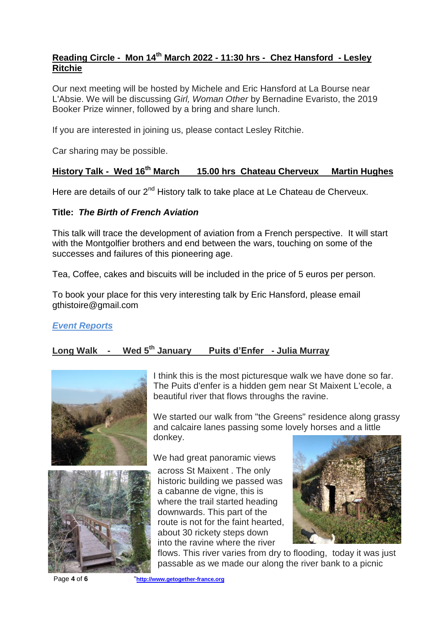## **Reading Circle - Mon 14th March 2022 - 11:30 hrs - Chez Hansford - Lesley Ritchie**

Our next meeting will be hosted by Michele and Eric Hansford at La Bourse near L'Absie. We will be discussing *Girl, Woman Other* by Bernadine Evaristo, the 2019 Booker Prize winner, followed by a bring and share lunch.

If you are interested in joining us, please contact Lesley Ritchie.

Car sharing may be possible.

## **History Talk - Wed 16th March 15.00 hrs Chateau Cherveux Martin Hughes**

Here are details of our 2<sup>nd</sup> History talk to take place at Le Chateau de Cherveux.

### **Title:** *The Birth of French Aviation*

This talk will trace the development of aviation from a French perspective. It will start with the Montgolfier brothers and end between the wars, touching on some of the successes and failures of this pioneering age.

Tea, Coffee, cakes and biscuits will be included in the price of 5 euros per person.

To book your place for this very interesting talk by Eric Hansford, please email gthistoire@gmail.com

### *Event Reports*

## **Long Walk - Wed 5th January Puits d'Enfer - Julia Murray**





I think this is the most picturesque walk we have done so far. The Puits d'enfer is a hidden gem near St Maixent L'ecole, a beautiful river that flows throughs the ravine.

We started our walk from "the Greens" residence along grassy and calcaire lanes passing some lovely horses and a little donkey.

We had great panoramic views

across St Maixent . The only historic building we passed was a cabanne de vigne, this is where the trail started heading downwards. This part of the route is not for the faint hearted, about 30 rickety steps down into the ravine where the river



flows. This river varies from dry to flooding, today it was just passable as we made our along the river bank to a picnic

Page **4** of **6** "**http://www.getogether-france.org**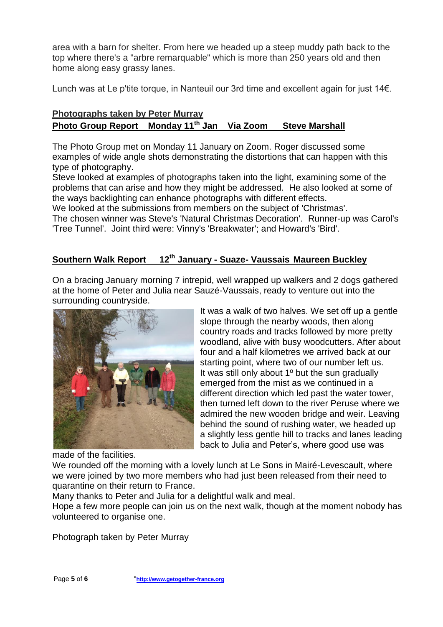area with a barn for shelter. From here we headed up a steep muddy path back to the top where there's a "arbre remarquable" which is more than 250 years old and then home along easy grassy lanes.

Lunch was at Le p'tite torque, in Nanteuil our 3rd time and excellent again for just 14€.

## **Photographs taken by Peter Murray Photo Group Report Monday 11th Jan Via Zoom Steve Marshall**

The Photo Group met on Monday 11 January on Zoom. Roger discussed some examples of wide angle shots demonstrating the distortions that can happen with this type of photography.

Steve looked at examples of photographs taken into the light, examining some of the problems that can arise and how they might be addressed. He also looked at some of the ways backlighting can enhance photographs with different effects.

We looked at the submissions from members on the subject of 'Christmas'. The chosen winner was Steve's 'Natural Christmas Decoration'. Runner-up was Carol's

'Tree Tunnel'. Joint third were: Vinny's 'Breakwater'; and Howard's 'Bird'.

# **Southern Walk Report 12th January - Suaze- Vaussais Maureen Buckley**

On a bracing January morning 7 intrepid, well wrapped up walkers and 2 dogs gathered at the home of Peter and Julia near Sauzé-Vaussais, ready to venture out into the surrounding countryside.



It was a walk of two halves. We set off up a gentle slope through the nearby woods, then along country roads and tracks followed by more pretty woodland, alive with busy woodcutters. After about four and a half kilometres we arrived back at our starting point, where two of our number left us. It was still only about 1º but the sun gradually emerged from the mist as we continued in a different direction which led past the water tower, then turned left down to the river Peruse where we admired the new wooden bridge and weir. Leaving behind the sound of rushing water, we headed up a slightly less gentle hill to tracks and lanes leading back to Julia and Peter's, where good use was

made of the facilities.

We rounded off the morning with a lovely lunch at Le Sons in Mairé-Levescault, where we were joined by two more members who had just been released from their need to quarantine on their return to France.

Many thanks to Peter and Julia for a delightful walk and meal.

Hope a few more people can join us on the next walk, though at the moment nobody has volunteered to organise one.

Photograph taken by Peter Murray